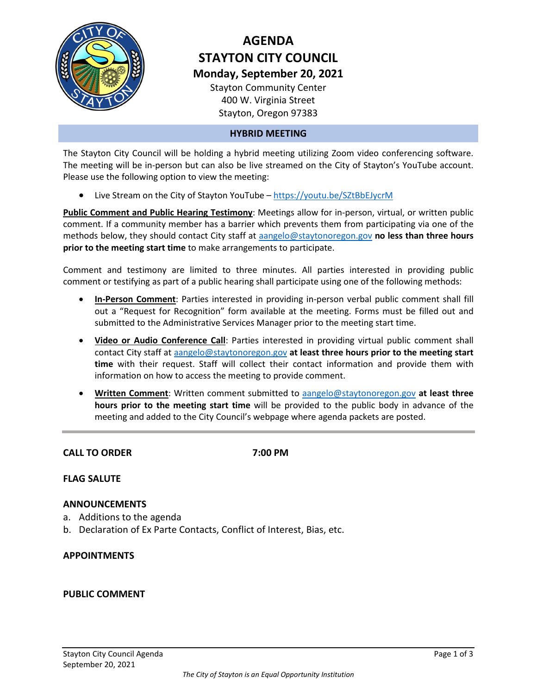

# **AGENDA STAYTON CITY COUNCIL Monday, September 20, 2021**

Stayton Community Center 400 W. Virginia Street Stayton, Oregon 97383

#### **HYBRID MEETING**

The Stayton City Council will be holding a hybrid meeting utilizing Zoom video conferencing software. The meeting will be in-person but can also be live streamed on the City of Stayton's YouTube account. Please use the following option to view the meeting:

• Live Stream on the City of Stayton YouTube - <https://youtu.be/SZtBbEJycrM>

**Public Comment and Public Hearing Testimony**: Meetings allow for in-person, virtual, or written public comment. If a community member has a barrier which prevents them from participating via one of the methods below, they should contact City staff at [aangelo@staytonoregon.gov](mailto:aangelo@staytonoregon.gov) **no less than three hours prior to the meeting start time** to make arrangements to participate.

Comment and testimony are limited to three minutes. All parties interested in providing public comment or testifying as part of a public hearing shall participate using one of the following methods:

- **In-Person Comment**: Parties interested in providing in-person verbal public comment shall fill out a "Request for Recognition" form available at the meeting. Forms must be filled out and submitted to the Administrative Services Manager prior to the meeting start time.
- **Video or Audio Conference Call**: Parties interested in providing virtual public comment shall contact City staff at [aangelo@staytonoregon.gov](mailto:aangelo@staytonoregon.gov) **at least three hours prior to the meeting start time** with their request. Staff will collect their contact information and provide them with information on how to access the meeting to provide comment.
- **Written Comment**: Written comment submitted to [aangelo@staytonoregon.gov](mailto:aangelo@staytonoregon.gov) **at least three hours prior to the meeting start time** will be provided to the public body in advance of the meeting and added to the City Council's webpage where agenda packets are posted.

**CALL TO ORDER 7:00 PM**

#### **FLAG SALUTE**

#### **ANNOUNCEMENTS**

- a. Additions to the agenda
- b. Declaration of Ex Parte Contacts, Conflict of Interest, Bias, etc.

#### **APPOINTMENTS**

#### **PUBLIC COMMENT**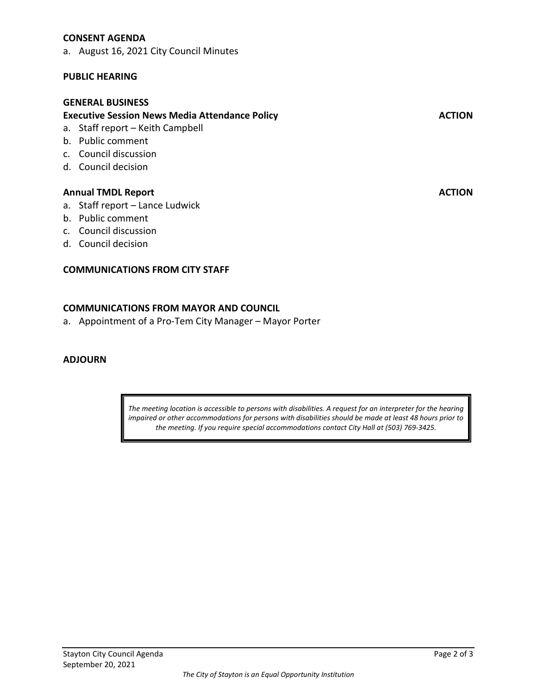#### **CONSENT AGENDA**

a. August 16, 2021 City Council Minutes

#### **PUBLIC HEARING**

#### **GENERAL BUSINESS**

### **Executive Session News Media Attendance Policy ACTION**

- a. Staff report Keith Campbell
- b. Public comment
- c. Council discussion
- d. Council decision

#### **Annual TMDL Report Action** Action Action Action Action Action Action Action Action Action Action Action Action Action Action Action Action Action Action Action Action Action Action Action Action Action Action Action Actio

- a. Staff report Lance Ludwick
- b. Public comment
- c. Council discussion
- d. Council decision

#### **COMMUNICATIONS FROM CITY STAFF**

#### **COMMUNICATIONS FROM MAYOR AND COUNCIL**

a. Appointment of a Pro-Tem City Manager – Mayor Porter

#### **ADJOURN**

*The meeting location is accessible to persons with disabilities. A request for an interpreter for the hearing impaired or other accommodations for persons with disabilities should be made at least 48 hours prior to the meeting. If you require special accommodations contact City Hall at (503) 769-3425.*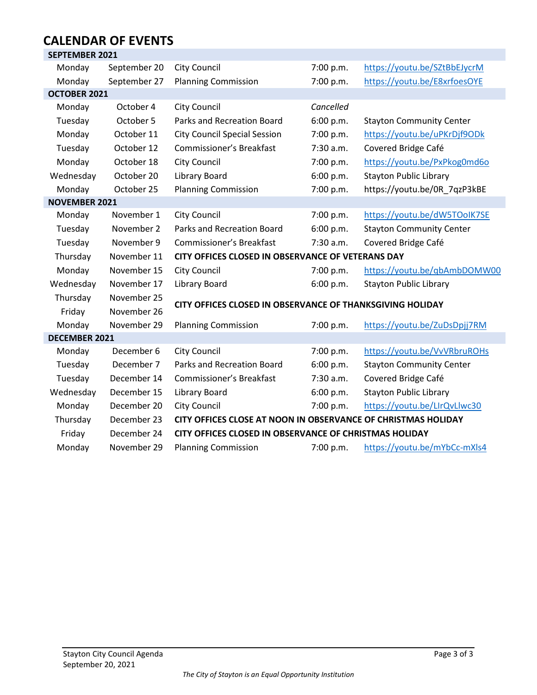#### **CALENDAR OF EVENTS SEPTEMBER 2021**

| SEPTEIVIBER ZUZT      |                                                |                                                               |           |                                 |  |
|-----------------------|------------------------------------------------|---------------------------------------------------------------|-----------|---------------------------------|--|
| Monday                | September 20                                   | <b>City Council</b>                                           | 7:00 p.m. | https://youtu.be/SZtBbEJycrM    |  |
| Monday                | September 27                                   | <b>Planning Commission</b>                                    | 7:00 p.m. | https://youtu.be/E8xrfoesOYE    |  |
| <b>OCTOBER 2021</b>   |                                                |                                                               |           |                                 |  |
| Monday                | October 4                                      | City Council                                                  | Cancelled |                                 |  |
| Tuesday               | October 5                                      | <b>Parks and Recreation Board</b>                             | 6:00 p.m. | <b>Stayton Community Center</b> |  |
| Monday                | October 11                                     | <b>City Council Special Session</b>                           | 7:00 p.m. | https://youtu.be/uPKrDjf9ODk    |  |
| Tuesday               | October 12                                     | Commissioner's Breakfast                                      | 7:30 a.m. | Covered Bridge Café             |  |
| Monday                | October 18                                     | City Council                                                  | 7:00 p.m. | https://youtu.be/PxPkog0md6o    |  |
| Wednesday             | October 20                                     | Library Board                                                 | 6:00 p.m. | <b>Stayton Public Library</b>   |  |
| Monday                | October 25                                     | <b>Planning Commission</b>                                    | 7:00 p.m. | https://youtu.be/0R_7qzP3kBE    |  |
| <b>NOVEMBER 2021</b>  |                                                |                                                               |           |                                 |  |
| Monday                | November 1                                     | City Council                                                  | 7:00 p.m. | https://youtu.be/dW5TOolK7SE    |  |
| Tuesday               | November 2                                     | Parks and Recreation Board                                    | 6:00 p.m. | <b>Stayton Community Center</b> |  |
| Tuesday               | November 9                                     | Commissioner's Breakfast                                      | 7:30 a.m. | Covered Bridge Café             |  |
| Thursday              | November 11                                    | CITY OFFICES CLOSED IN OBSERVANCE OF VETERANS DAY             |           |                                 |  |
| Monday                | November 15                                    | City Council                                                  | 7:00 p.m. | https://youtu.be/qbAmbDOMW00    |  |
| Wednesday             | November 17                                    | <b>Library Board</b>                                          | 6:00 p.m. | <b>Stayton Public Library</b>   |  |
| Thursday              | November 25                                    |                                                               |           |                                 |  |
| Friday                | November 26                                    | CITY OFFICES CLOSED IN OBSERVANCE OF THANKSGIVING HOLIDAY     |           |                                 |  |
| Monday                | November 29                                    | <b>Planning Commission</b>                                    | 7:00 p.m. | https://youtu.be/ZuDsDpjj7RM    |  |
| <b>DECEMBER 2021</b>  |                                                |                                                               |           |                                 |  |
| Monday                | December 6                                     | <b>City Council</b>                                           | 7:00 p.m. | https://youtu.be/VvVRbruROHs    |  |
| Tuesday               | December 7                                     | <b>Parks and Recreation Board</b>                             | 6:00 p.m. | <b>Stayton Community Center</b> |  |
| Tuesday               | December 14<br><b>Commissioner's Breakfast</b> |                                                               | 7:30 a.m. | Covered Bridge Café             |  |
| Wednesday             | December 15<br>Library Board                   |                                                               | 6:00 p.m. | <b>Stayton Public Library</b>   |  |
| Monday<br>December 20 |                                                | <b>City Council</b>                                           | 7:00 p.m. | https://youtu.be/LIrQvLlwc30    |  |
| Thursday              | December 23                                    | CITY OFFICES CLOSE AT NOON IN OBSERVANCE OF CHRISTMAS HOLIDAY |           |                                 |  |
| Friday                | December 24                                    | CITY OFFICES CLOSED IN OBSERVANCE OF CHRISTMAS HOLIDAY        |           |                                 |  |
| Monday                | November 29                                    | <b>Planning Commission</b>                                    | 7:00 p.m. | https://youtu.be/mYbCc-mXls4    |  |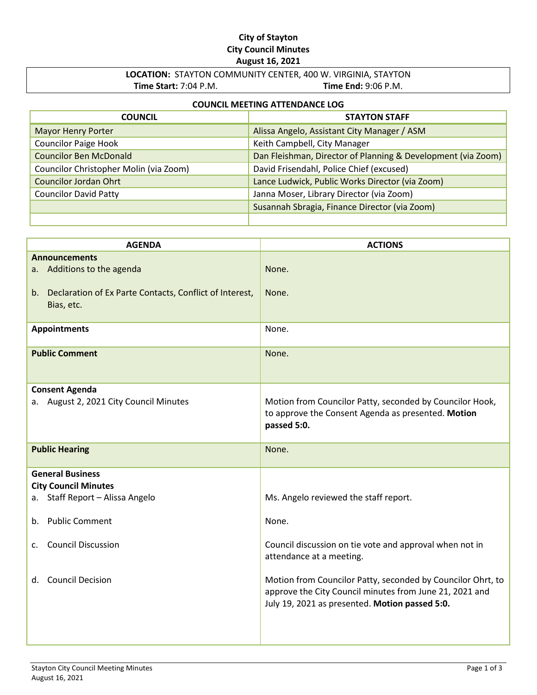### **City of Stayton City Council Minutes August 16, 2021**

### **LOCATION:** STAYTON COMMUNITY CENTER, 400 W. VIRGINIA, STAYTON **Time Start:** 7:04 P.M. **Time End:** 9:06 P.M.

# **COUNCIL MEETING ATTENDANCE LOG**

| <b>COUNCIL</b>                         | <b>STAYTON STAFF</b>                                         |
|----------------------------------------|--------------------------------------------------------------|
| <b>Mayor Henry Porter</b>              | Alissa Angelo, Assistant City Manager / ASM                  |
| <b>Councilor Paige Hook</b>            | Keith Campbell, City Manager                                 |
| <b>Councilor Ben McDonald</b>          | Dan Fleishman, Director of Planning & Development (via Zoom) |
| Councilor Christopher Molin (via Zoom) | David Frisendahl, Police Chief (excused)                     |
| <b>Councilor Jordan Ohrt</b>           | Lance Ludwick, Public Works Director (via Zoom)              |
| <b>Councilor David Patty</b>           | Janna Moser, Library Director (via Zoom)                     |
|                                        | Susannah Sbragia, Finance Director (via Zoom)                |
|                                        |                                                              |

| <b>AGENDA</b>                                                            | <b>ACTIONS</b>                                                                                                                                                           |  |  |  |
|--------------------------------------------------------------------------|--------------------------------------------------------------------------------------------------------------------------------------------------------------------------|--|--|--|
| <b>Announcements</b>                                                     |                                                                                                                                                                          |  |  |  |
| a. Additions to the agenda                                               | None.                                                                                                                                                                    |  |  |  |
| b. Declaration of Ex Parte Contacts, Conflict of Interest,<br>Bias, etc. | None.                                                                                                                                                                    |  |  |  |
| <b>Appointments</b>                                                      | None.                                                                                                                                                                    |  |  |  |
| <b>Public Comment</b>                                                    | None.                                                                                                                                                                    |  |  |  |
| <b>Consent Agenda</b>                                                    |                                                                                                                                                                          |  |  |  |
| a. August 2, 2021 City Council Minutes                                   | Motion from Councilor Patty, seconded by Councilor Hook,<br>to approve the Consent Agenda as presented. Motion<br>passed 5:0.                                            |  |  |  |
| <b>Public Hearing</b>                                                    | None.                                                                                                                                                                    |  |  |  |
| <b>General Business</b>                                                  |                                                                                                                                                                          |  |  |  |
| <b>City Council Minutes</b>                                              |                                                                                                                                                                          |  |  |  |
| a. Staff Report - Alissa Angelo                                          | Ms. Angelo reviewed the staff report.                                                                                                                                    |  |  |  |
| b. Public Comment                                                        | None.                                                                                                                                                                    |  |  |  |
| <b>Council Discussion</b><br>C.                                          | Council discussion on tie vote and approval when not in<br>attendance at a meeting.                                                                                      |  |  |  |
| d. Council Decision                                                      | Motion from Councilor Patty, seconded by Councilor Ohrt, to<br>approve the City Council minutes from June 21, 2021 and<br>July 19, 2021 as presented. Motion passed 5:0. |  |  |  |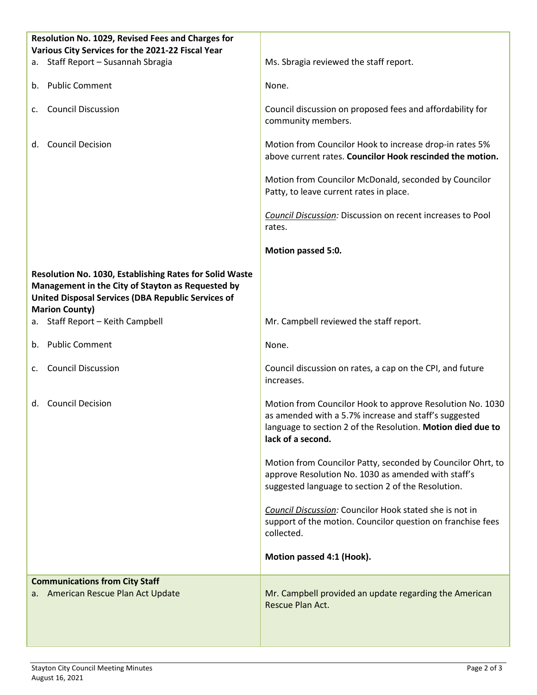| Resolution No. 1029, Revised Fees and Charges for<br>Various City Services for the 2021-22 Fiscal Year                                                                                             |                                                                                                                                                                                                        |
|----------------------------------------------------------------------------------------------------------------------------------------------------------------------------------------------------|--------------------------------------------------------------------------------------------------------------------------------------------------------------------------------------------------------|
| a. Staff Report - Susannah Sbragia                                                                                                                                                                 | Ms. Sbragia reviewed the staff report.                                                                                                                                                                 |
| <b>Public Comment</b><br>b.                                                                                                                                                                        | None.                                                                                                                                                                                                  |
| <b>Council Discussion</b><br>C.                                                                                                                                                                    | Council discussion on proposed fees and affordability for<br>community members.                                                                                                                        |
| <b>Council Decision</b><br>d.                                                                                                                                                                      | Motion from Councilor Hook to increase drop-in rates 5%<br>above current rates. Councilor Hook rescinded the motion.                                                                                   |
|                                                                                                                                                                                                    | Motion from Councilor McDonald, seconded by Councilor<br>Patty, to leave current rates in place.                                                                                                       |
|                                                                                                                                                                                                    | Council Discussion: Discussion on recent increases to Pool<br>rates.                                                                                                                                   |
|                                                                                                                                                                                                    | Motion passed 5:0.                                                                                                                                                                                     |
| Resolution No. 1030, Establishing Rates for Solid Waste<br>Management in the City of Stayton as Requested by<br><b>United Disposal Services (DBA Republic Services of</b><br><b>Marion County)</b> |                                                                                                                                                                                                        |
| a. Staff Report - Keith Campbell                                                                                                                                                                   | Mr. Campbell reviewed the staff report.                                                                                                                                                                |
| <b>Public Comment</b><br>b.                                                                                                                                                                        | None.                                                                                                                                                                                                  |
| <b>Council Discussion</b><br>C.                                                                                                                                                                    | Council discussion on rates, a cap on the CPI, and future<br>increases.                                                                                                                                |
| d. Council Decision                                                                                                                                                                                | Motion from Councilor Hook to approve Resolution No. 1030<br>as amended with a 5.7% increase and staff's suggested<br>language to section 2 of the Resolution. Motion died due to<br>lack of a second. |
|                                                                                                                                                                                                    | Motion from Councilor Patty, seconded by Councilor Ohrt, to<br>approve Resolution No. 1030 as amended with staff's<br>suggested language to section 2 of the Resolution.                               |
|                                                                                                                                                                                                    | Council Discussion: Councilor Hook stated she is not in<br>support of the motion. Councilor question on franchise fees<br>collected.                                                                   |
|                                                                                                                                                                                                    | Motion passed 4:1 (Hook).                                                                                                                                                                              |
| <b>Communications from City Staff</b>                                                                                                                                                              |                                                                                                                                                                                                        |
| a. American Rescue Plan Act Update                                                                                                                                                                 | Mr. Campbell provided an update regarding the American<br>Rescue Plan Act.                                                                                                                             |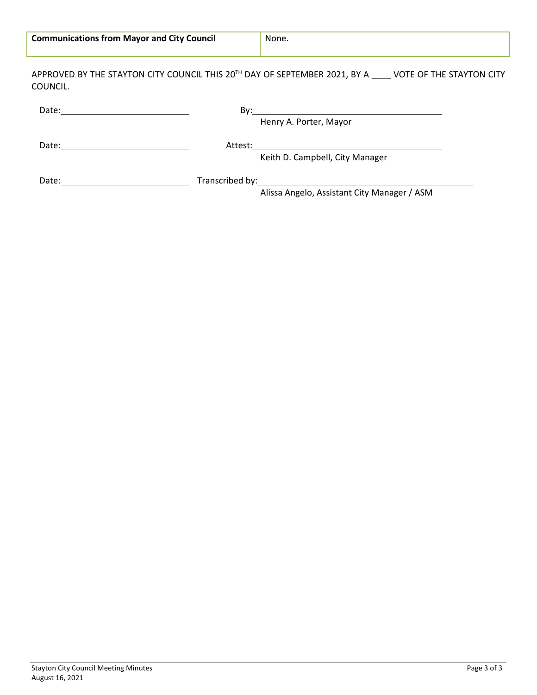| <b>Communications from Mayor and City Council</b> | None. |  |  |  |  |
|---------------------------------------------------|-------|--|--|--|--|
|                                                   |       |  |  |  |  |

APPROVED BY THE STAYTON CITY COUNCIL THIS 20<sup>TH</sup> DAY OF SEPTEMBER 2021, BY A \_\_\_\_ VOTE OF THE STAYTON CITY COUNCIL.

|       | Bv:                                                                                                                             |  |
|-------|---------------------------------------------------------------------------------------------------------------------------------|--|
|       | Henry A. Porter, Mayor                                                                                                          |  |
| Date: | Attest:<br><u> 1980 - Jan Stern Harry Harry Harry Harry Harry Harry Harry Harry Harry Harry Harry Harry Harry Harry Harry H</u> |  |
|       | Keith D. Campbell, City Manager                                                                                                 |  |
| Date: | Transcribed by: 1999 and 2008 and 2009 and 2009 and 2009 and 2009 and 2009 and 2009 and 2009 and 200                            |  |
|       | Alissa Angelo, Assistant City Manager / ASM                                                                                     |  |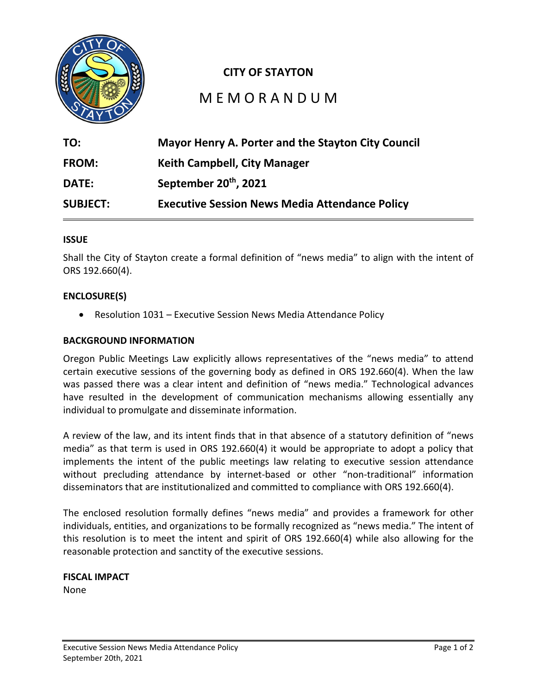

# **CITY OF STAYTON**

# M E M O R A N D U M

| TO:             | Mayor Henry A. Porter and the Stayton City Council    |
|-----------------|-------------------------------------------------------|
| <b>FROM:</b>    | <b>Keith Campbell, City Manager</b>                   |
| <b>DATE:</b>    | September 20 <sup>th</sup> , 2021                     |
| <b>SUBJECT:</b> | <b>Executive Session News Media Attendance Policy</b> |

#### **ISSUE**

Shall the City of Stayton create a formal definition of "news media" to align with the intent of ORS 192.660(4).

#### **ENCLOSURE(S)**

• Resolution 1031 – Executive Session News Media Attendance Policy

#### **BACKGROUND INFORMATION**

Oregon Public Meetings Law explicitly allows representatives of the "news media" to attend certain executive sessions of the governing body as defined in ORS 192.660(4). When the law was passed there was a clear intent and definition of "news media." Technological advances have resulted in the development of communication mechanisms allowing essentially any individual to promulgate and disseminate information.

A review of the law, and its intent finds that in that absence of a statutory definition of "news media" as that term is used in ORS 192.660(4) it would be appropriate to adopt a policy that implements the intent of the public meetings law relating to executive session attendance without precluding attendance by internet-based or other "non-traditional" information disseminators that are institutionalized and committed to compliance with ORS 192.660(4).

The enclosed resolution formally defines "news media" and provides a framework for other individuals, entities, and organizations to be formally recognized as "news media." The intent of this resolution is to meet the intent and spirit of ORS 192.660(4) while also allowing for the reasonable protection and sanctity of the executive sessions.

# **FISCAL IMPACT**

None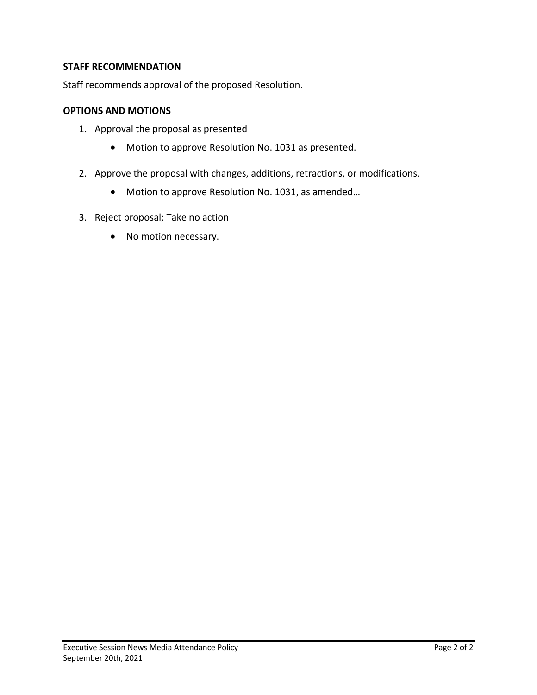# **STAFF RECOMMENDATION**

Staff recommends approval of the proposed Resolution.

### **OPTIONS AND MOTIONS**

- 1. Approval the proposal as presented
	- Motion to approve Resolution No. 1031 as presented.
- 2. Approve the proposal with changes, additions, retractions, or modifications.
	- Motion to approve Resolution No. 1031, as amended…
- 3. Reject proposal; Take no action
	- No motion necessary.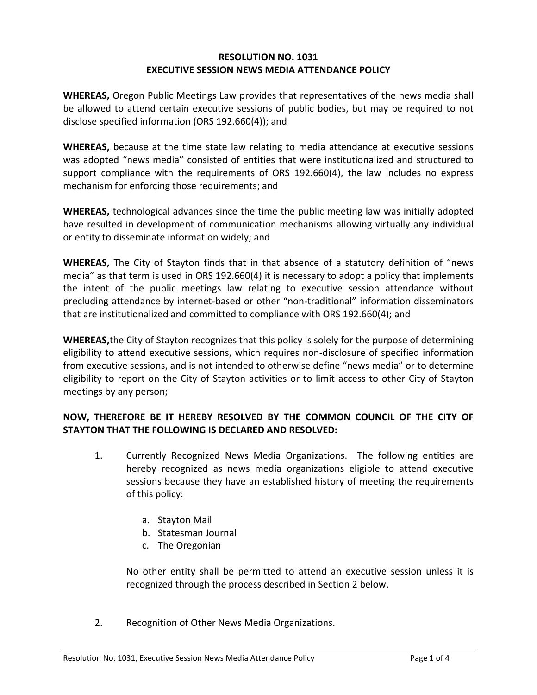# **RESOLUTION NO. 1031 EXECUTIVE SESSION NEWS MEDIA ATTENDANCE POLICY**

**WHEREAS,** Oregon Public Meetings Law provides that representatives of the news media shall be allowed to attend certain executive sessions of public bodies, but may be required to not disclose specified information (ORS 192.660(4)); and

**WHEREAS,** because at the time state law relating to media attendance at executive sessions was adopted "news media" consisted of entities that were institutionalized and structured to support compliance with the requirements of ORS 192.660(4), the law includes no express mechanism for enforcing those requirements; and

**WHEREAS,** technological advances since the time the public meeting law was initially adopted have resulted in development of communication mechanisms allowing virtually any individual or entity to disseminate information widely; and

**WHEREAS,** The City of Stayton finds that in that absence of a statutory definition of "news media" as that term is used in ORS 192.660(4) it is necessary to adopt a policy that implements the intent of the public meetings law relating to executive session attendance without precluding attendance by internet-based or other "non-traditional" information disseminators that are institutionalized and committed to compliance with ORS 192.660(4); and

**WHEREAS,**the City of Stayton recognizes that this policy is solely for the purpose of determining eligibility to attend executive sessions, which requires non-disclosure of specified information from executive sessions, and is not intended to otherwise define "news media" or to determine eligibility to report on the City of Stayton activities or to limit access to other City of Stayton meetings by any person;

# **NOW, THEREFORE BE IT HEREBY RESOLVED BY THE COMMON COUNCIL OF THE CITY OF STAYTON THAT THE FOLLOWING IS DECLARED AND RESOLVED:**

- 1. Currently Recognized News Media Organizations. The following entities are hereby recognized as news media organizations eligible to attend executive sessions because they have an established history of meeting the requirements of this policy:
	- a. Stayton Mail
	- b. Statesman Journal
	- c. The Oregonian

No other entity shall be permitted to attend an executive session unless it is recognized through the process described in Section 2 below.

2. Recognition of Other News Media Organizations.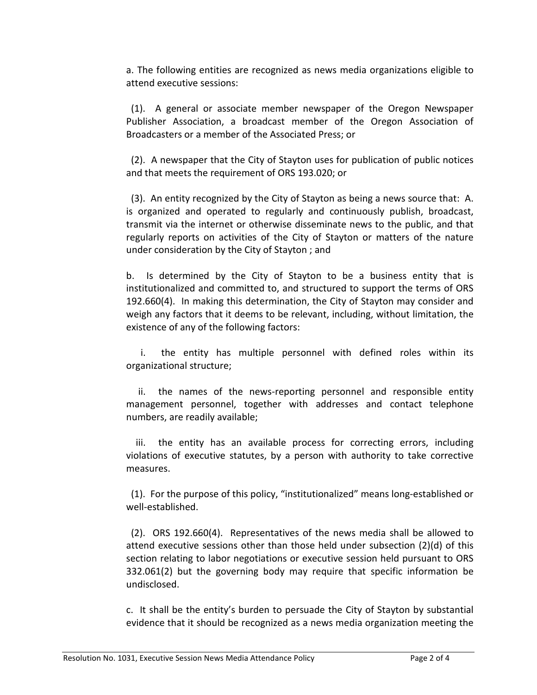a. The following entities are recognized as news media organizations eligible to attend executive sessions:

(1). A general or associate member newspaper of the Oregon Newspaper Publisher Association, a broadcast member of the Oregon Association of Broadcasters or a member of the Associated Press; or

(2). A newspaper that the City of Stayton uses for publication of public notices and that meets the requirement of ORS 193.020; or

 (3). An entity recognized by the City of Stayton as being a news source that: A. is organized and operated to regularly and continuously publish, broadcast, transmit via the internet or otherwise disseminate news to the public, and that regularly reports on activities of the City of Stayton or matters of the nature under consideration by the City of Stayton ; and

b. Is determined by the City of Stayton to be a business entity that is institutionalized and committed to, and structured to support the terms of ORS 192.660(4). In making this determination, the City of Stayton may consider and weigh any factors that it deems to be relevant, including, without limitation, the existence of any of the following factors:

 i. the entity has multiple personnel with defined roles within its organizational structure;

 ii. the names of the news-reporting personnel and responsible entity management personnel, together with addresses and contact telephone numbers, are readily available;

 iii. the entity has an available process for correcting errors, including violations of executive statutes, by a person with authority to take corrective measures.

 (1). For the purpose of this policy, "institutionalized" means long-established or well-established.

 (2). ORS 192.660(4). Representatives of the news media shall be allowed to attend executive sessions other than those held under subsection (2)(d) of this section relating to labor negotiations or executive session held pursuant to ORS 332.061(2) but the governing body may require that specific information be undisclosed.

c. It shall be the entity's burden to persuade the City of Stayton by substantial evidence that it should be recognized as a news media organization meeting the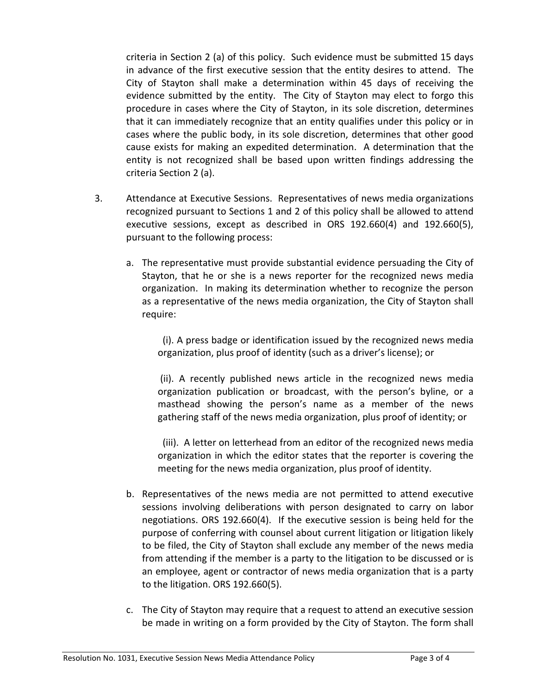criteria in Section 2 (a) of this policy. Such evidence must be submitted 15 days in advance of the first executive session that the entity desires to attend. The City of Stayton shall make a determination within 45 days of receiving the evidence submitted by the entity. The City of Stayton may elect to forgo this procedure in cases where the City of Stayton, in its sole discretion, determines that it can immediately recognize that an entity qualifies under this policy or in cases where the public body, in its sole discretion, determines that other good cause exists for making an expedited determination. A determination that the entity is not recognized shall be based upon written findings addressing the criteria Section 2 (a).

- 3. Attendance at Executive Sessions. Representatives of news media organizations recognized pursuant to Sections 1 and 2 of this policy shall be allowed to attend executive sessions, except as described in ORS 192.660(4) and 192.660(5), pursuant to the following process:
	- a. The representative must provide substantial evidence persuading the City of Stayton, that he or she is a news reporter for the recognized news media organization. In making its determination whether to recognize the person as a representative of the news media organization, the City of Stayton shall require:

 (i). A press badge or identification issued by the recognized news media organization, plus proof of identity (such as a driver's license); or

(ii). A recently published news article in the recognized news media organization publication or broadcast, with the person's byline, or a masthead showing the person's name as a member of the news gathering staff of the news media organization, plus proof of identity; or

 (iii). A letter on letterhead from an editor of the recognized news media organization in which the editor states that the reporter is covering the meeting for the news media organization, plus proof of identity.

- b. Representatives of the news media are not permitted to attend executive sessions involving deliberations with person designated to carry on labor negotiations. ORS 192.660(4). If the executive session is being held for the purpose of conferring with counsel about current litigation or litigation likely to be filed, the City of Stayton shall exclude any member of the news media from attending if the member is a party to the litigation to be discussed or is an employee, agent or contractor of news media organization that is a party to the litigation. ORS 192.660(5).
- c. The City of Stayton may require that a request to attend an executive session be made in writing on a form provided by the City of Stayton. The form shall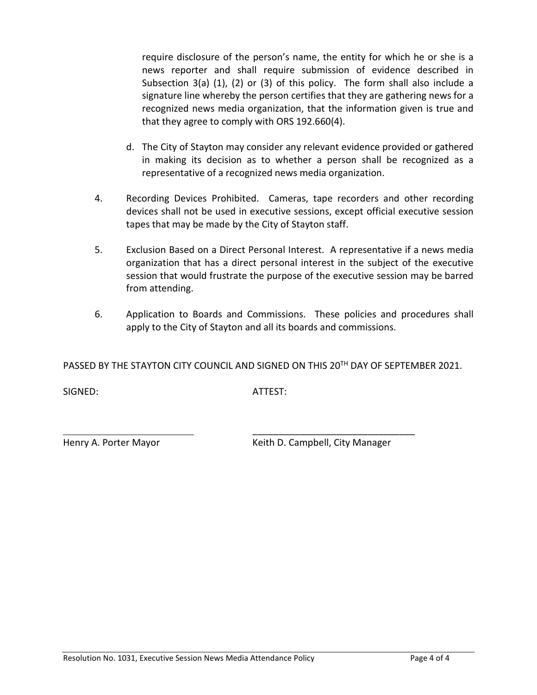require disclosure of the person's name, the entity for which he or she is a news reporter and shall require submission of evidence described in Subsection 3(a) (1), (2) or (3) of this policy. The form shall also include a signature line whereby the person certifies that they are gathering news for a recognized news media organization, that the information given is true and that they agree to comply with ORS 192.660(4).

- d. The City of Stayton may consider any relevant evidence provided or gathered in making its decision as to whether a person shall be recognized as a representative of a recognized news media organization.
- 4. Recording Devices Prohibited. Cameras, tape recorders and other recording devices shall not be used in executive sessions, except official executive session tapes that may be made by the City of Stayton staff.
- 5. Exclusion Based on a Direct Personal Interest. A representative if a news media organization that has a direct personal interest in the subject of the executive session that would frustrate the purpose of the executive session may be barred from attending.
- 6. Application to Boards and Commissions. These policies and procedures shall apply to the City of Stayton and all its boards and commissions.

PASSED BY THE STAYTON CITY COUNCIL AND SIGNED ON THIS 20TH DAY OF SEPTEMBER 2021.

\_\_\_\_\_\_\_\_\_\_\_\_\_\_\_\_\_\_\_\_\_\_\_\_\_\_\_\_\_\_\_

SIGNED: ATTEST:

Henry A. Porter Mayor **Manager** Keith D. Campbell, City Manager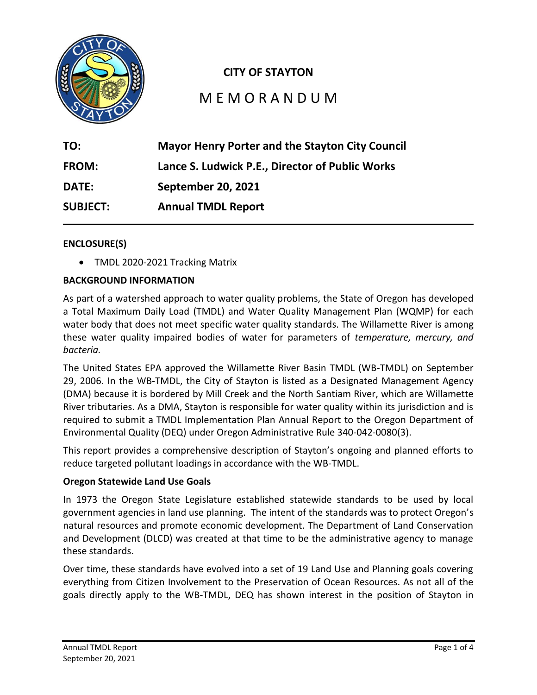

# **CITY OF STAYTON**

# M E M O R A N D U M

| TO:             | <b>Mayor Henry Porter and the Stayton City Council</b> |
|-----------------|--------------------------------------------------------|
| FROM:           | Lance S. Ludwick P.E., Director of Public Works        |
| <b>DATE:</b>    | <b>September 20, 2021</b>                              |
| <b>SUBJECT:</b> | <b>Annual TMDL Report</b>                              |

# **ENCLOSURE(S)**

• TMDL 2020-2021 Tracking Matrix

# **BACKGROUND INFORMATION**

As part of a watershed approach to water quality problems, the State of Oregon has developed a Total Maximum Daily Load (TMDL) and Water Quality Management Plan (WQMP) for each water body that does not meet specific water quality standards. The Willamette River is among these water quality impaired bodies of water for parameters of *temperature, mercury, and bacteria.*

The United States EPA approved the Willamette River Basin TMDL (WB-TMDL) on September 29, 2006. In the WB-TMDL, the City of Stayton is listed as a Designated Management Agency (DMA) because it is bordered by Mill Creek and the North Santiam River, which are Willamette River tributaries. As a DMA, Stayton is responsible for water quality within its jurisdiction and is required to submit a TMDL Implementation Plan Annual Report to the Oregon Department of Environmental Quality (DEQ) under Oregon Administrative Rule 340-042-0080(3).

This report provides a comprehensive description of Stayton's ongoing and planned efforts to reduce targeted pollutant loadings in accordance with the WB-TMDL.

### **Oregon Statewide Land Use Goals**

In 1973 the Oregon State Legislature established statewide standards to be used by local government agencies in land use planning. The intent of the standards was to protect Oregon's natural resources and promote economic development. The Department of Land Conservation and Development (DLCD) was created at that time to be the administrative agency to manage these standards.

Over time, these standards have evolved into a set of 19 Land Use and Planning goals covering everything from Citizen Involvement to the Preservation of Ocean Resources. As not all of the goals directly apply to the WB-TMDL, DEQ has shown interest in the position of Stayton in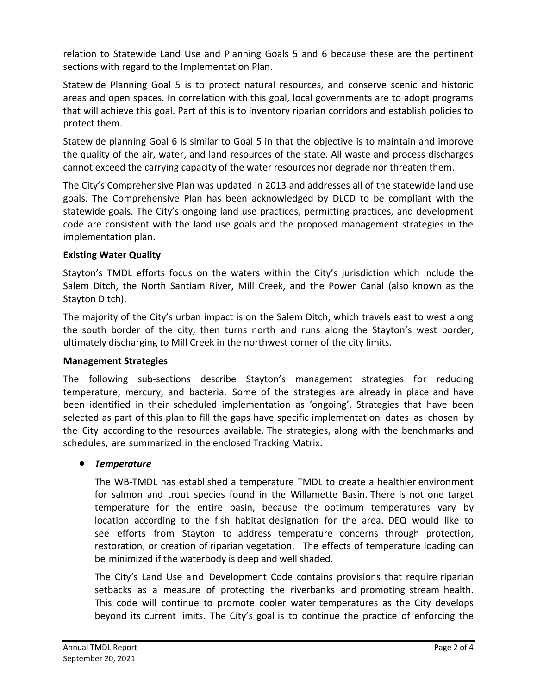relation to Statewide Land Use and Planning Goals 5 and 6 because these are the pertinent sections with regard to the Implementation Plan.

Statewide Planning Goal 5 is to protect natural resources, and conserve scenic and historic areas and open spaces. In correlation with this goal, local governments are to adopt programs that will achieve this goal. Part of this is to inventory riparian corridors and establish policies to protect them.

Statewide planning Goal 6 is similar to Goal 5 in that the objective is to maintain and improve the quality of the air, water, and land resources of the state. All waste and process discharges cannot exceed the carrying capacity of the water resources nor degrade nor threaten them.

The City's Comprehensive Plan was updated in 2013 and addresses all of the statewide land use goals. The Comprehensive Plan has been acknowledged by DLCD to be compliant with the statewide goals. The City's ongoing land use practices, permitting practices, and development code are consistent with the land use goals and the proposed management strategies in the implementation plan.

# **Existing Water Quality**

Stayton's TMDL efforts focus on the waters within the City's jurisdiction which include the Salem Ditch, the North Santiam River, Mill Creek, and the Power Canal (also known as the Stayton Ditch).

The majority of the City's urban impact is on the Salem Ditch, which travels east to west along the south border of the city, then turns north and runs along the Stayton's west border, ultimately discharging to Mill Creek in the northwest corner of the city limits.

# **Management Strategies**

The following sub-sections describe Stayton's management strategies for reducing temperature, mercury, and bacteria. Some of the strategies are already in place and have been identified in their scheduled implementation as 'ongoing'. Strategies that have been selected as part of this plan to fill the gaps have specific implementation dates as chosen by the City according to the resources available. The strategies, along with the benchmarks and schedules, are summarized in the enclosed Tracking Matrix.

# • *Temperature*

The WB-TMDL has established a temperature TMDL to create a healthier environment for salmon and trout species found in the Willamette Basin. There is not one target temperature for the entire basin, because the optimum temperatures vary by location according to the fish habitat designation for the area. DEQ would like to see efforts from Stayton to address temperature concerns through protection, restoration, or creation of riparian vegetation. The effects of temperature loading can be minimized if the waterbody is deep and well shaded.

The City's Land Use and Development Code contains provisions that require riparian setbacks as a measure of protecting the riverbanks and promoting stream health. This code will continue to promote cooler water temperatures as the City develops beyond its current limits. The City's goal is to continue the practice of enforcing the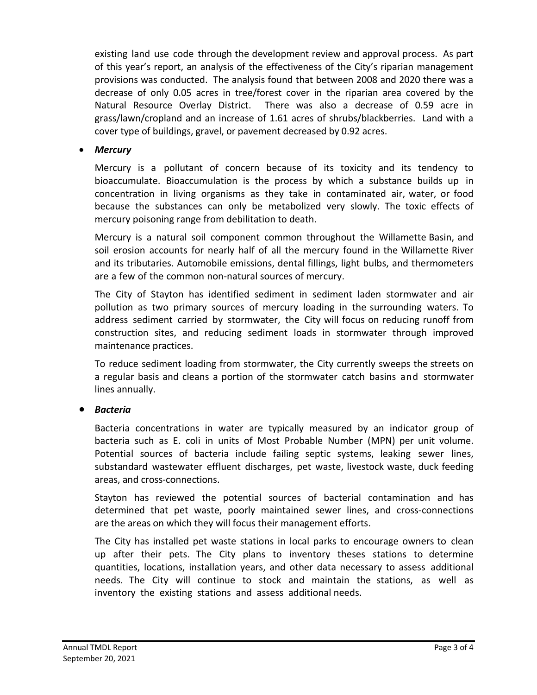existing land use code through the development review and approval process. As part of this year's report, an analysis of the effectiveness of the City's riparian management provisions was conducted. The analysis found that between 2008 and 2020 there was a decrease of only 0.05 acres in tree/forest cover in the riparian area covered by the Natural Resource Overlay District. There was also a decrease of 0.59 acre in grass/lawn/cropland and an increase of 1.61 acres of shrubs/blackberries. Land with a cover type of buildings, gravel, or pavement decreased by 0.92 acres.

• *Mercury*

Mercury is a pollutant of concern because of its toxicity and its tendency to bioaccumulate. Bioaccumulation is the process by which a substance builds up in concentration in living organisms as they take in contaminated air, water, or food because the substances can only be metabolized very slowly. The toxic effects of mercury poisoning range from debilitation to death.

Mercury is a natural soil component common throughout the Willamette Basin, and soil erosion accounts for nearly half of all the mercury found in the Willamette River and its tributaries. Automobile emissions, dental fillings, light bulbs, and thermometers are a few of the common non-natural sources of mercury.

The City of Stayton has identified sediment in sediment laden stormwater and air pollution as two primary sources of mercury loading in the surrounding waters. To address sediment carried by stormwater, the City will focus on reducing runoff from construction sites, and reducing sediment loads in stormwater through improved maintenance practices.

To reduce sediment loading from stormwater, the City currently sweeps the streets on a regular basis and cleans a portion of the stormwater catch basins and stormwater lines annually.

• *Bacteria*

Bacteria concentrations in water are typically measured by an indicator group of bacteria such as E. coli in units of Most Probable Number (MPN) per unit volume. Potential sources of bacteria include failing septic systems, leaking sewer lines, substandard wastewater effluent discharges, pet waste, livestock waste, duck feeding areas, and cross-connections.

Stayton has reviewed the potential sources of bacterial contamination and has determined that pet waste, poorly maintained sewer lines, and cross-connections are the areas on which they will focus their management efforts.

The City has installed pet waste stations in local parks to encourage owners to clean up after their pets. The City plans to inventory theses stations to determine quantities, locations, installation years, and other data necessary to assess additional needs. The City will continue to stock and maintain the stations, as well as inventory the existing stations and assess additional needs.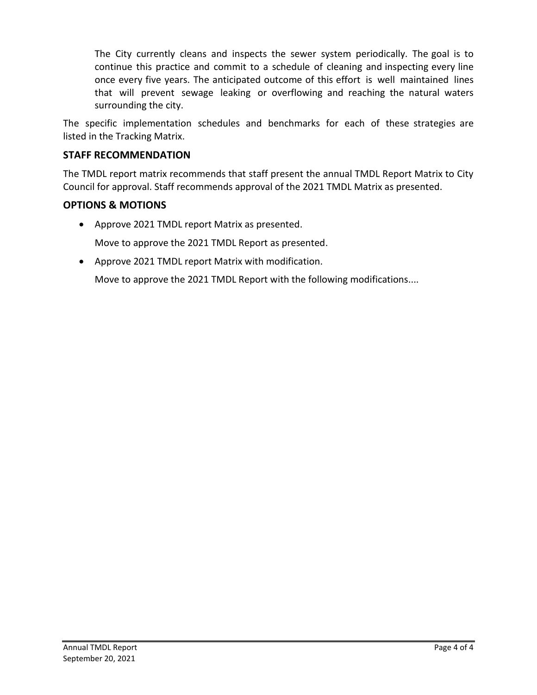The City currently cleans and inspects the sewer system periodically. The goal is to continue this practice and commit to a schedule of cleaning and inspecting every line once every five years. The anticipated outcome of this effort is well maintained lines that will prevent sewage leaking or overflowing and reaching the natural waters surrounding the city.

The specific implementation schedules and benchmarks for each of these strategies are listed in the Tracking Matrix.

# **STAFF RECOMMENDATION**

The TMDL report matrix recommends that staff present the annual TMDL Report Matrix to City Council for approval. Staff recommends approval of the 2021 TMDL Matrix as presented.

# **OPTIONS & MOTIONS**

- Approve 2021 TMDL report Matrix as presented. Move to approve the 2021 TMDL Report as presented.
- Approve 2021 TMDL report Matrix with modification.

Move to approve the 2021 TMDL Report with the following modifications....